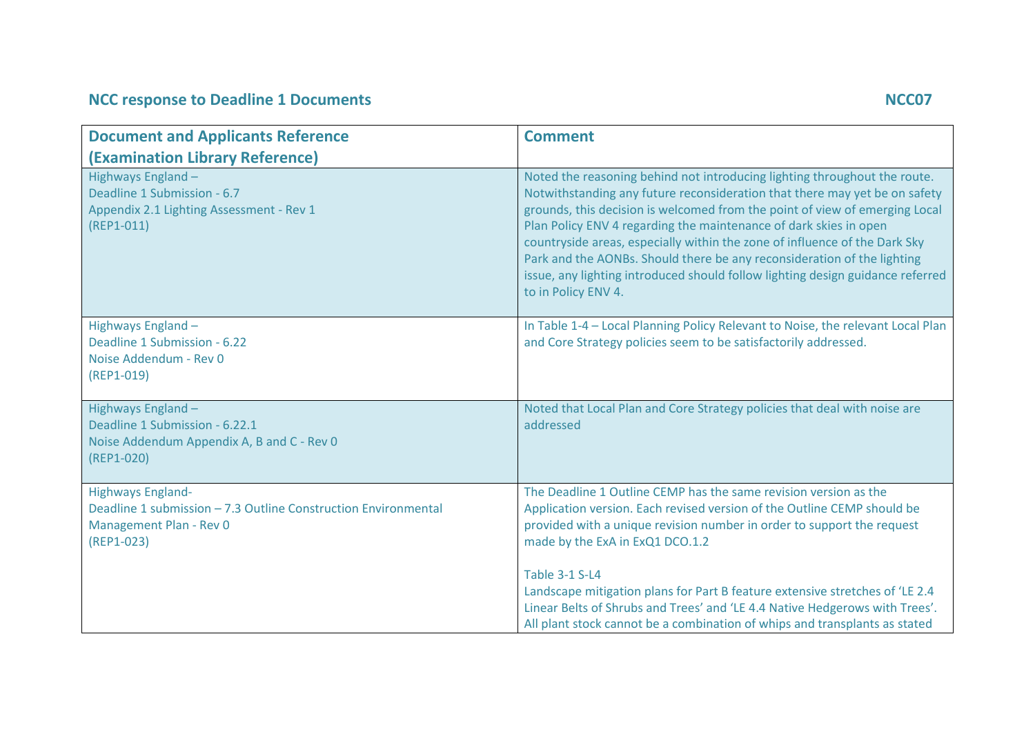## **NCC response to Deadline 1 Documents NCC07**

| <b>Document and Applicants Reference</b>                                                                                              | <b>Comment</b>                                                                                                                                                                                                                                                                                                                                                                                                                                                                                                                                                                |
|---------------------------------------------------------------------------------------------------------------------------------------|-------------------------------------------------------------------------------------------------------------------------------------------------------------------------------------------------------------------------------------------------------------------------------------------------------------------------------------------------------------------------------------------------------------------------------------------------------------------------------------------------------------------------------------------------------------------------------|
| (Examination Library Reference)                                                                                                       |                                                                                                                                                                                                                                                                                                                                                                                                                                                                                                                                                                               |
| Highways England -<br>Deadline 1 Submission - 6.7<br>Appendix 2.1 Lighting Assessment - Rev 1<br>$(REP1-011)$                         | Noted the reasoning behind not introducing lighting throughout the route.<br>Notwithstanding any future reconsideration that there may yet be on safety<br>grounds, this decision is welcomed from the point of view of emerging Local<br>Plan Policy ENV 4 regarding the maintenance of dark skies in open<br>countryside areas, especially within the zone of influence of the Dark Sky<br>Park and the AONBs. Should there be any reconsideration of the lighting<br>issue, any lighting introduced should follow lighting design guidance referred<br>to in Policy ENV 4. |
| Highways England -<br>Deadline 1 Submission - 6.22<br>Noise Addendum - Rev 0<br>(REP1-019)                                            | In Table 1-4 - Local Planning Policy Relevant to Noise, the relevant Local Plan<br>and Core Strategy policies seem to be satisfactorily addressed.                                                                                                                                                                                                                                                                                                                                                                                                                            |
| Highways England-<br>Deadline 1 Submission - 6.22.1<br>Noise Addendum Appendix A, B and C - Rev 0<br>(REP1-020)                       | Noted that Local Plan and Core Strategy policies that deal with noise are<br>addressed                                                                                                                                                                                                                                                                                                                                                                                                                                                                                        |
| <b>Highways England-</b><br>Deadline 1 submission - 7.3 Outline Construction Environmental<br>Management Plan - Rev 0<br>$(REP1-023)$ | The Deadline 1 Outline CEMP has the same revision version as the<br>Application version. Each revised version of the Outline CEMP should be<br>provided with a unique revision number in order to support the request<br>made by the ExA in ExQ1 DCO.1.2                                                                                                                                                                                                                                                                                                                      |
|                                                                                                                                       | <b>Table 3-1 S-L4</b><br>Landscape mitigation plans for Part B feature extensive stretches of 'LE 2.4<br>Linear Belts of Shrubs and Trees' and 'LE 4.4 Native Hedgerows with Trees'.<br>All plant stock cannot be a combination of whips and transplants as stated                                                                                                                                                                                                                                                                                                            |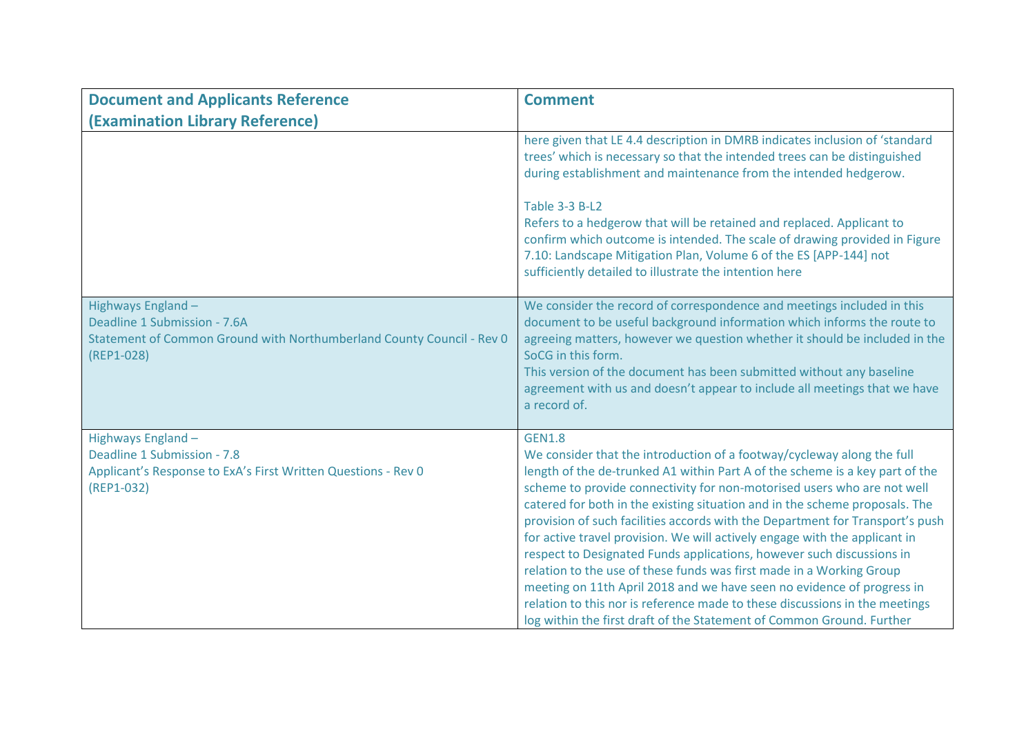| <b>Document and Applicants Reference</b>                                                                                                  | <b>Comment</b>                                                                                                                                                                                                                                                                                                                                                                                                                                                                                                                                                                                                                                                                                                                                                                                                                                                                      |
|-------------------------------------------------------------------------------------------------------------------------------------------|-------------------------------------------------------------------------------------------------------------------------------------------------------------------------------------------------------------------------------------------------------------------------------------------------------------------------------------------------------------------------------------------------------------------------------------------------------------------------------------------------------------------------------------------------------------------------------------------------------------------------------------------------------------------------------------------------------------------------------------------------------------------------------------------------------------------------------------------------------------------------------------|
| (Examination Library Reference)                                                                                                           |                                                                                                                                                                                                                                                                                                                                                                                                                                                                                                                                                                                                                                                                                                                                                                                                                                                                                     |
|                                                                                                                                           | here given that LE 4.4 description in DMRB indicates inclusion of 'standard<br>trees' which is necessary so that the intended trees can be distinguished<br>during establishment and maintenance from the intended hedgerow.<br><b>Table 3-3 B-L2</b><br>Refers to a hedgerow that will be retained and replaced. Applicant to<br>confirm which outcome is intended. The scale of drawing provided in Figure<br>7.10: Landscape Mitigation Plan, Volume 6 of the ES [APP-144] not<br>sufficiently detailed to illustrate the intention here                                                                                                                                                                                                                                                                                                                                         |
| Highways England -<br>Deadline 1 Submission - 7.6A<br>Statement of Common Ground with Northumberland County Council - Rev 0<br>(REP1-028) | We consider the record of correspondence and meetings included in this<br>document to be useful background information which informs the route to<br>agreeing matters, however we question whether it should be included in the<br>SoCG in this form.<br>This version of the document has been submitted without any baseline<br>agreement with us and doesn't appear to include all meetings that we have<br>a record of.                                                                                                                                                                                                                                                                                                                                                                                                                                                          |
| Highways England -<br>Deadline 1 Submission - 7.8<br>Applicant's Response to ExA's First Written Questions - Rev 0<br>(REP1-032)          | <b>GEN1.8</b><br>We consider that the introduction of a footway/cycleway along the full<br>length of the de-trunked A1 within Part A of the scheme is a key part of the<br>scheme to provide connectivity for non-motorised users who are not well<br>catered for both in the existing situation and in the scheme proposals. The<br>provision of such facilities accords with the Department for Transport's push<br>for active travel provision. We will actively engage with the applicant in<br>respect to Designated Funds applications, however such discussions in<br>relation to the use of these funds was first made in a Working Group<br>meeting on 11th April 2018 and we have seen no evidence of progress in<br>relation to this nor is reference made to these discussions in the meetings<br>log within the first draft of the Statement of Common Ground. Further |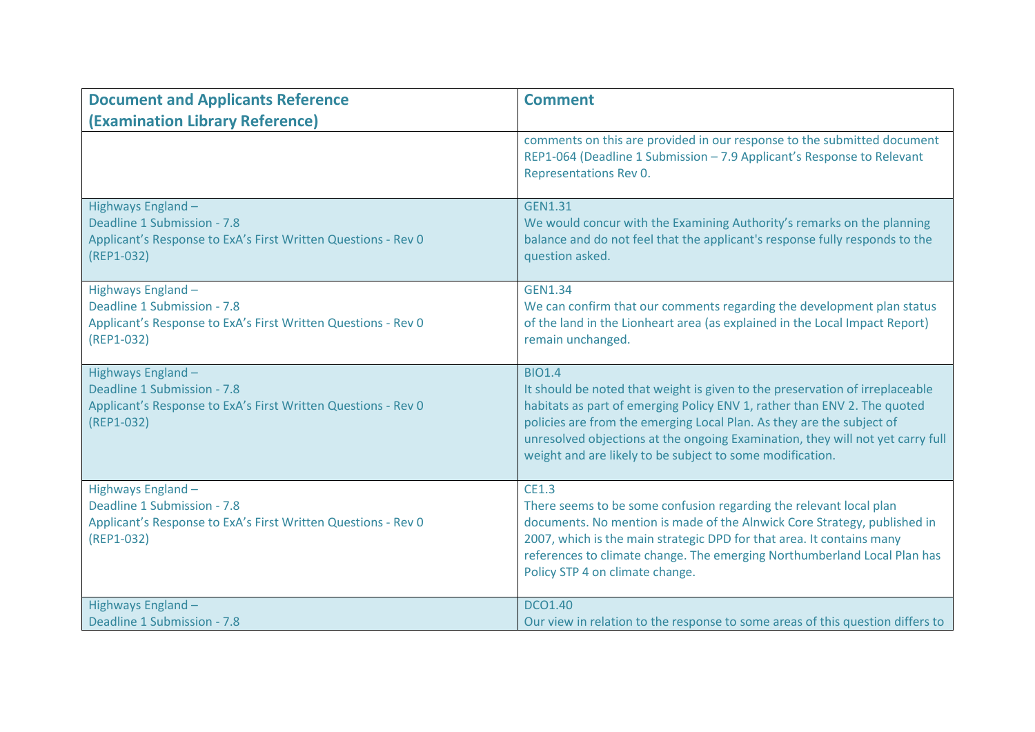| <b>Document and Applicants Reference</b>                                                                                         | <b>Comment</b>                                                                                                                                                                                                                                                                                                                                                                                    |
|----------------------------------------------------------------------------------------------------------------------------------|---------------------------------------------------------------------------------------------------------------------------------------------------------------------------------------------------------------------------------------------------------------------------------------------------------------------------------------------------------------------------------------------------|
| (Examination Library Reference)                                                                                                  |                                                                                                                                                                                                                                                                                                                                                                                                   |
|                                                                                                                                  | comments on this are provided in our response to the submitted document<br>REP1-064 (Deadline 1 Submission - 7.9 Applicant's Response to Relevant<br>Representations Rev 0.                                                                                                                                                                                                                       |
| Highways England -<br>Deadline 1 Submission - 7.8<br>Applicant's Response to ExA's First Written Questions - Rev 0<br>(REP1-032) | <b>GEN1.31</b><br>We would concur with the Examining Authority's remarks on the planning<br>balance and do not feel that the applicant's response fully responds to the<br>question asked.                                                                                                                                                                                                        |
| Highways England -<br>Deadline 1 Submission - 7.8<br>Applicant's Response to ExA's First Written Questions - Rev 0<br>(REP1-032) | <b>GEN1.34</b><br>We can confirm that our comments regarding the development plan status<br>of the land in the Lionheart area (as explained in the Local Impact Report)<br>remain unchanged.                                                                                                                                                                                                      |
| Highways England -<br>Deadline 1 Submission - 7.8<br>Applicant's Response to ExA's First Written Questions - Rev 0<br>(REP1-032) | <b>BIO1.4</b><br>It should be noted that weight is given to the preservation of irreplaceable<br>habitats as part of emerging Policy ENV 1, rather than ENV 2. The quoted<br>policies are from the emerging Local Plan. As they are the subject of<br>unresolved objections at the ongoing Examination, they will not yet carry full<br>weight and are likely to be subject to some modification. |
| Highways England -<br>Deadline 1 Submission - 7.8<br>Applicant's Response to ExA's First Written Questions - Rev 0<br>(REP1-032) | <b>CE1.3</b><br>There seems to be some confusion regarding the relevant local plan<br>documents. No mention is made of the Alnwick Core Strategy, published in<br>2007, which is the main strategic DPD for that area. It contains many<br>references to climate change. The emerging Northumberland Local Plan has<br>Policy STP 4 on climate change.                                            |
| Highways England -<br>Deadline 1 Submission - 7.8                                                                                | <b>DCO1.40</b><br>Our view in relation to the response to some areas of this question differs to                                                                                                                                                                                                                                                                                                  |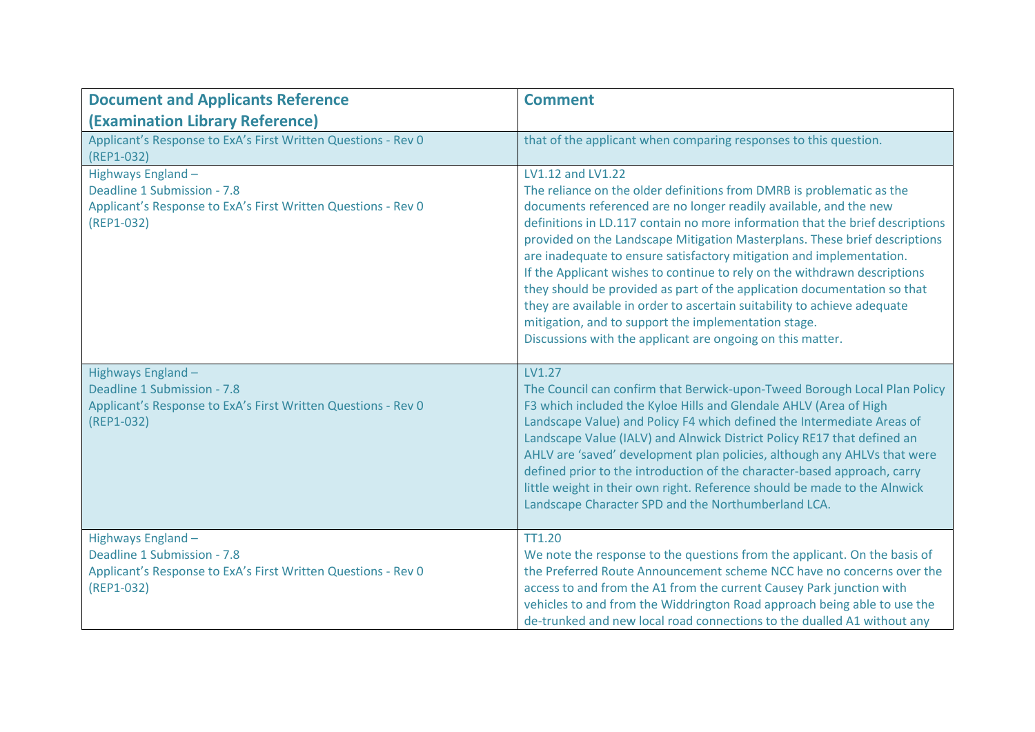| <b>Document and Applicants Reference</b>                                                                                         | <b>Comment</b>                                                                                                                                                                                                                                                                                                                                                                                                                                                                                                                                                                                                                                                                                                                                                    |
|----------------------------------------------------------------------------------------------------------------------------------|-------------------------------------------------------------------------------------------------------------------------------------------------------------------------------------------------------------------------------------------------------------------------------------------------------------------------------------------------------------------------------------------------------------------------------------------------------------------------------------------------------------------------------------------------------------------------------------------------------------------------------------------------------------------------------------------------------------------------------------------------------------------|
| (Examination Library Reference)                                                                                                  |                                                                                                                                                                                                                                                                                                                                                                                                                                                                                                                                                                                                                                                                                                                                                                   |
| Applicant's Response to ExA's First Written Questions - Rev 0<br>(REP1-032)                                                      | that of the applicant when comparing responses to this question.                                                                                                                                                                                                                                                                                                                                                                                                                                                                                                                                                                                                                                                                                                  |
| Highways England-<br>Deadline 1 Submission - 7.8<br>Applicant's Response to ExA's First Written Questions - Rev 0<br>(REP1-032)  | LV1.12 and LV1.22<br>The reliance on the older definitions from DMRB is problematic as the<br>documents referenced are no longer readily available, and the new<br>definitions in LD.117 contain no more information that the brief descriptions<br>provided on the Landscape Mitigation Masterplans. These brief descriptions<br>are inadequate to ensure satisfactory mitigation and implementation.<br>If the Applicant wishes to continue to rely on the withdrawn descriptions<br>they should be provided as part of the application documentation so that<br>they are available in order to ascertain suitability to achieve adequate<br>mitigation, and to support the implementation stage.<br>Discussions with the applicant are ongoing on this matter. |
| Highways England -<br>Deadline 1 Submission - 7.8<br>Applicant's Response to ExA's First Written Questions - Rev 0<br>(REP1-032) | LV1.27<br>The Council can confirm that Berwick-upon-Tweed Borough Local Plan Policy<br>F3 which included the Kyloe Hills and Glendale AHLV (Area of High<br>Landscape Value) and Policy F4 which defined the Intermediate Areas of<br>Landscape Value (IALV) and Alnwick District Policy RE17 that defined an<br>AHLV are 'saved' development plan policies, although any AHLVs that were<br>defined prior to the introduction of the character-based approach, carry<br>little weight in their own right. Reference should be made to the Alnwick<br>Landscape Character SPD and the Northumberland LCA.                                                                                                                                                         |
| Highways England -<br>Deadline 1 Submission - 7.8<br>Applicant's Response to ExA's First Written Questions - Rev 0<br>(REP1-032) | TT1.20<br>We note the response to the questions from the applicant. On the basis of<br>the Preferred Route Announcement scheme NCC have no concerns over the<br>access to and from the A1 from the current Causey Park junction with<br>vehicles to and from the Widdrington Road approach being able to use the<br>de-trunked and new local road connections to the dualled A1 without any                                                                                                                                                                                                                                                                                                                                                                       |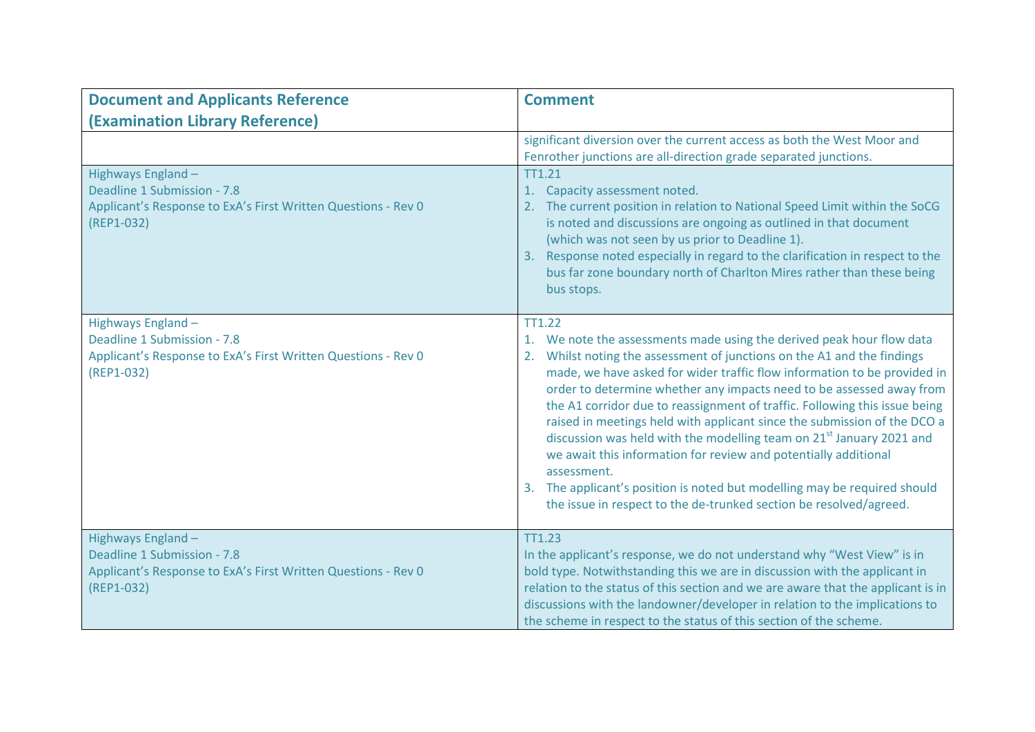| <b>Document and Applicants Reference</b>                                                                                         | <b>Comment</b>                                                                                                                                                                                                                                                                                                                                                                                                                                                                                                                                                                                                                                                                                                                                                                                              |
|----------------------------------------------------------------------------------------------------------------------------------|-------------------------------------------------------------------------------------------------------------------------------------------------------------------------------------------------------------------------------------------------------------------------------------------------------------------------------------------------------------------------------------------------------------------------------------------------------------------------------------------------------------------------------------------------------------------------------------------------------------------------------------------------------------------------------------------------------------------------------------------------------------------------------------------------------------|
| (Examination Library Reference)                                                                                                  |                                                                                                                                                                                                                                                                                                                                                                                                                                                                                                                                                                                                                                                                                                                                                                                                             |
|                                                                                                                                  | significant diversion over the current access as both the West Moor and<br>Fenrother junctions are all-direction grade separated junctions.                                                                                                                                                                                                                                                                                                                                                                                                                                                                                                                                                                                                                                                                 |
| Highways England -<br>Deadline 1 Submission - 7.8<br>Applicant's Response to ExA's First Written Questions - Rev 0<br>(REP1-032) | <b>TT1.21</b><br>Capacity assessment noted.<br>1.<br>The current position in relation to National Speed Limit within the SoCG<br>is noted and discussions are ongoing as outlined in that document<br>(which was not seen by us prior to Deadline 1).<br>Response noted especially in regard to the clarification in respect to the<br>3.<br>bus far zone boundary north of Charlton Mires rather than these being<br>bus stops.                                                                                                                                                                                                                                                                                                                                                                            |
| Highways England -<br>Deadline 1 Submission - 7.8<br>Applicant's Response to ExA's First Written Questions - Rev 0<br>(REP1-032) | <b>TT1.22</b><br>We note the assessments made using the derived peak hour flow data<br>1.<br>2. Whilst noting the assessment of junctions on the A1 and the findings<br>made, we have asked for wider traffic flow information to be provided in<br>order to determine whether any impacts need to be assessed away from<br>the A1 corridor due to reassignment of traffic. Following this issue being<br>raised in meetings held with applicant since the submission of the DCO a<br>discussion was held with the modelling team on 21 <sup>st</sup> January 2021 and<br>we await this information for review and potentially additional<br>assessment.<br>3. The applicant's position is noted but modelling may be required should<br>the issue in respect to the de-trunked section be resolved/agreed. |
| Highways England-<br>Deadline 1 Submission - 7.8<br>Applicant's Response to ExA's First Written Questions - Rev 0<br>(REP1-032)  | <b>TT1.23</b><br>In the applicant's response, we do not understand why "West View" is in<br>bold type. Notwithstanding this we are in discussion with the applicant in<br>relation to the status of this section and we are aware that the applicant is in<br>discussions with the landowner/developer in relation to the implications to<br>the scheme in respect to the status of this section of the scheme.                                                                                                                                                                                                                                                                                                                                                                                             |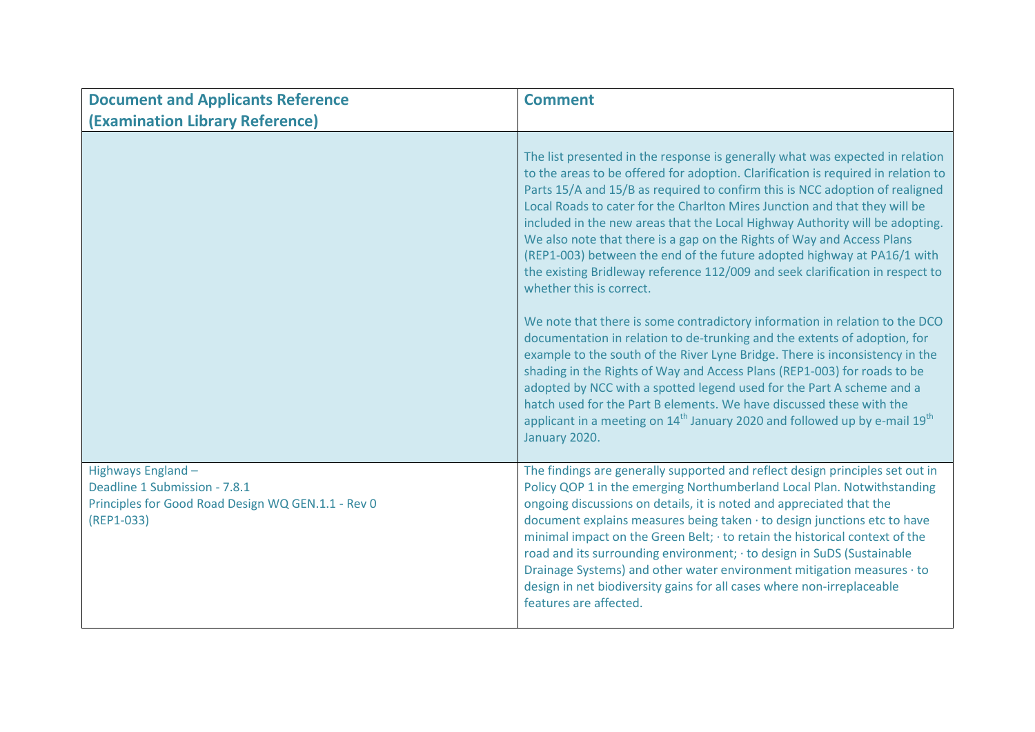| <b>Document and Applicants Reference</b>                                                                                | <b>Comment</b>                                                                                                                                                                                                                                                                                                                                                                                                                                                                                                                                                                                                                                                                     |
|-------------------------------------------------------------------------------------------------------------------------|------------------------------------------------------------------------------------------------------------------------------------------------------------------------------------------------------------------------------------------------------------------------------------------------------------------------------------------------------------------------------------------------------------------------------------------------------------------------------------------------------------------------------------------------------------------------------------------------------------------------------------------------------------------------------------|
| (Examination Library Reference)                                                                                         |                                                                                                                                                                                                                                                                                                                                                                                                                                                                                                                                                                                                                                                                                    |
|                                                                                                                         | The list presented in the response is generally what was expected in relation<br>to the areas to be offered for adoption. Clarification is required in relation to<br>Parts 15/A and 15/B as required to confirm this is NCC adoption of realigned<br>Local Roads to cater for the Charlton Mires Junction and that they will be<br>included in the new areas that the Local Highway Authority will be adopting.<br>We also note that there is a gap on the Rights of Way and Access Plans<br>(REP1-003) between the end of the future adopted highway at PA16/1 with<br>the existing Bridleway reference 112/009 and seek clarification in respect to<br>whether this is correct. |
|                                                                                                                         | We note that there is some contradictory information in relation to the DCO<br>documentation in relation to de-trunking and the extents of adoption, for<br>example to the south of the River Lyne Bridge. There is inconsistency in the<br>shading in the Rights of Way and Access Plans (REP1-003) for roads to be<br>adopted by NCC with a spotted legend used for the Part A scheme and a<br>hatch used for the Part B elements. We have discussed these with the<br>applicant in a meeting on 14 <sup>th</sup> January 2020 and followed up by e-mail 19 <sup>th</sup><br>January 2020.                                                                                       |
| Highways England -<br>Deadline 1 Submission - 7.8.1<br>Principles for Good Road Design WQ GEN.1.1 - Rev 0<br>(REP1-033) | The findings are generally supported and reflect design principles set out in<br>Policy QOP 1 in the emerging Northumberland Local Plan. Notwithstanding<br>ongoing discussions on details, it is noted and appreciated that the<br>document explains measures being taken · to design junctions etc to have<br>minimal impact on the Green Belt; · to retain the historical context of the<br>road and its surrounding environment; · to design in SuDS (Sustainable<br>Drainage Systems) and other water environment mitigation measures · to<br>design in net biodiversity gains for all cases where non-irreplaceable<br>features are affected.                                |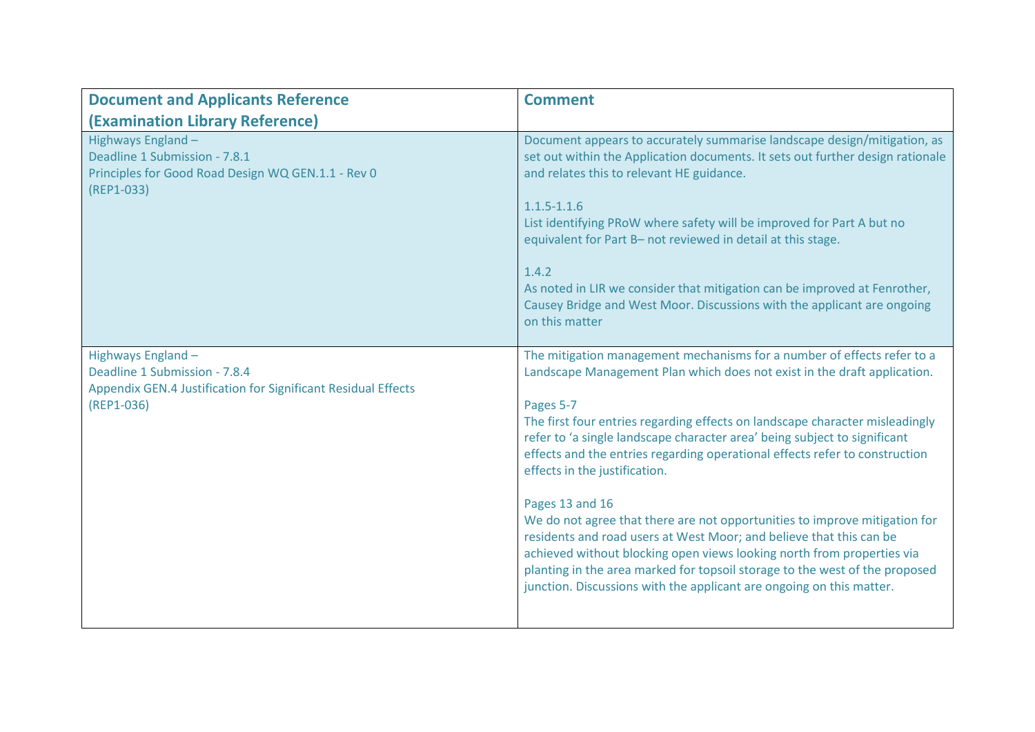| <b>Document and Applicants Reference</b>                                                                                           | <b>Comment</b>                                                                                                                                                                                                                                                                                                                                                                                                                                                                                                                                                                                                                                                                                                                                                                                                                                         |
|------------------------------------------------------------------------------------------------------------------------------------|--------------------------------------------------------------------------------------------------------------------------------------------------------------------------------------------------------------------------------------------------------------------------------------------------------------------------------------------------------------------------------------------------------------------------------------------------------------------------------------------------------------------------------------------------------------------------------------------------------------------------------------------------------------------------------------------------------------------------------------------------------------------------------------------------------------------------------------------------------|
| (Examination Library Reference)                                                                                                    |                                                                                                                                                                                                                                                                                                                                                                                                                                                                                                                                                                                                                                                                                                                                                                                                                                                        |
| Highways England -<br>Deadline 1 Submission - 7.8.1<br>Principles for Good Road Design WQ GEN.1.1 - Rev 0<br>(REP1-033)            | Document appears to accurately summarise landscape design/mitigation, as<br>set out within the Application documents. It sets out further design rationale<br>and relates this to relevant HE guidance.<br>$1.1.5 - 1.1.6$<br>List identifying PRoW where safety will be improved for Part A but no<br>equivalent for Part B- not reviewed in detail at this stage.<br>1.4.2<br>As noted in LIR we consider that mitigation can be improved at Fenrother,<br>Causey Bridge and West Moor. Discussions with the applicant are ongoing<br>on this matter                                                                                                                                                                                                                                                                                                 |
| Highways England -<br>Deadline 1 Submission - 7.8.4<br>Appendix GEN.4 Justification for Significant Residual Effects<br>(REP1-036) | The mitigation management mechanisms for a number of effects refer to a<br>Landscape Management Plan which does not exist in the draft application.<br>Pages 5-7<br>The first four entries regarding effects on landscape character misleadingly<br>refer to 'a single landscape character area' being subject to significant<br>effects and the entries regarding operational effects refer to construction<br>effects in the justification.<br>Pages 13 and 16<br>We do not agree that there are not opportunities to improve mitigation for<br>residents and road users at West Moor; and believe that this can be<br>achieved without blocking open views looking north from properties via<br>planting in the area marked for topsoil storage to the west of the proposed<br>junction. Discussions with the applicant are ongoing on this matter. |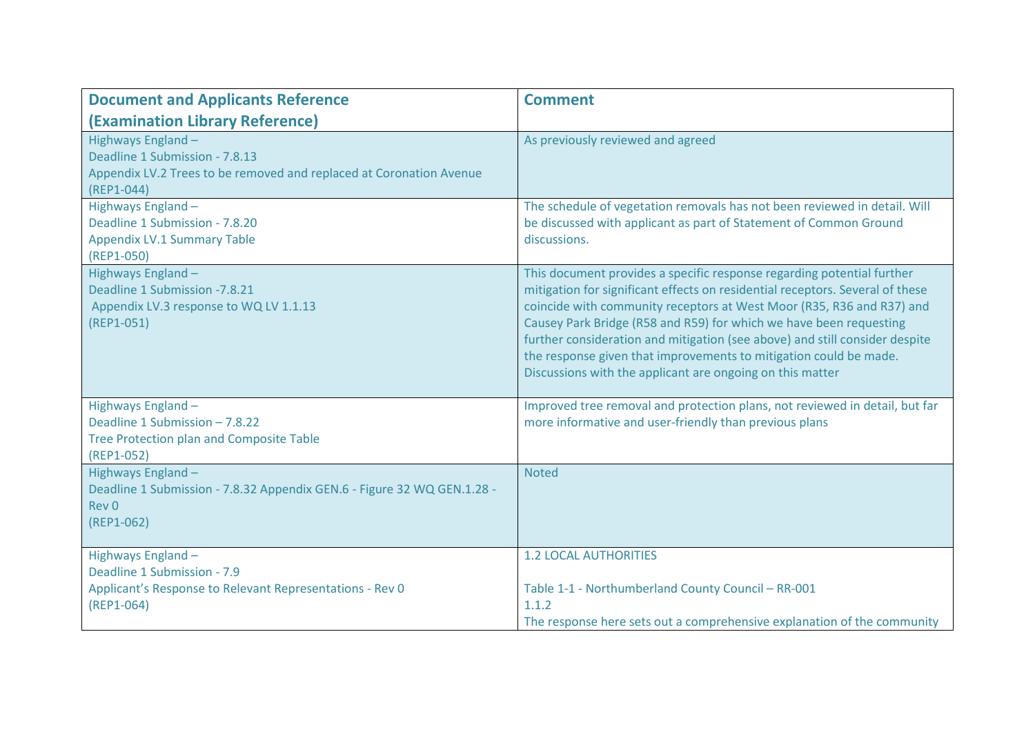| <b>Document and Applicants Reference</b>                                                                                                    | <b>Comment</b>                                                                                                                                                                                                                                                                                                                                                                                                                                                                                                          |
|---------------------------------------------------------------------------------------------------------------------------------------------|-------------------------------------------------------------------------------------------------------------------------------------------------------------------------------------------------------------------------------------------------------------------------------------------------------------------------------------------------------------------------------------------------------------------------------------------------------------------------------------------------------------------------|
| <b>(Examination Library Reference)</b>                                                                                                      |                                                                                                                                                                                                                                                                                                                                                                                                                                                                                                                         |
| Highways England -<br>Deadline 1 Submission - 7.8.13<br>Appendix LV.2 Trees to be removed and replaced at Coronation Avenue<br>$(REP1-044)$ | As previously reviewed and agreed                                                                                                                                                                                                                                                                                                                                                                                                                                                                                       |
| Highways England -<br>Deadline 1 Submission - 7.8.20<br><b>Appendix LV.1 Summary Table</b><br>(REP1-050)                                    | The schedule of vegetation removals has not been reviewed in detail. Will<br>be discussed with applicant as part of Statement of Common Ground<br>discussions.                                                                                                                                                                                                                                                                                                                                                          |
| Highways England-<br>Deadline 1 Submission - 7.8.21<br>Appendix LV.3 response to WQ LV 1.1.13<br>$(REP1-051)$                               | This document provides a specific response regarding potential further<br>mitigation for significant effects on residential receptors. Several of these<br>coincide with community receptors at West Moor (R35, R36 and R37) and<br>Causey Park Bridge (R58 and R59) for which we have been requesting<br>further consideration and mitigation (see above) and still consider despite<br>the response given that improvements to mitigation could be made.<br>Discussions with the applicant are ongoing on this matter |
| Highways England -<br>Deadline 1 Submission - 7.8.22<br>Tree Protection plan and Composite Table<br>(REP1-052)                              | Improved tree removal and protection plans, not reviewed in detail, but far<br>more informative and user-friendly than previous plans                                                                                                                                                                                                                                                                                                                                                                                   |
| Highways England -<br>Deadline 1 Submission - 7.8.32 Appendix GEN.6 - Figure 32 WQ GEN.1.28 -<br>Rev <sub>0</sub><br>$(REP1-062)$           | <b>Noted</b>                                                                                                                                                                                                                                                                                                                                                                                                                                                                                                            |
| Highways England -<br>Deadline 1 Submission - 7.9<br>Applicant's Response to Relevant Representations - Rev 0<br>$(REP1-064)$               | <b>1.2 LOCAL AUTHORITIES</b><br>Table 1-1 - Northumberland County Council - RR-001<br>1.1.2<br>The response here sets out a comprehensive explanation of the community                                                                                                                                                                                                                                                                                                                                                  |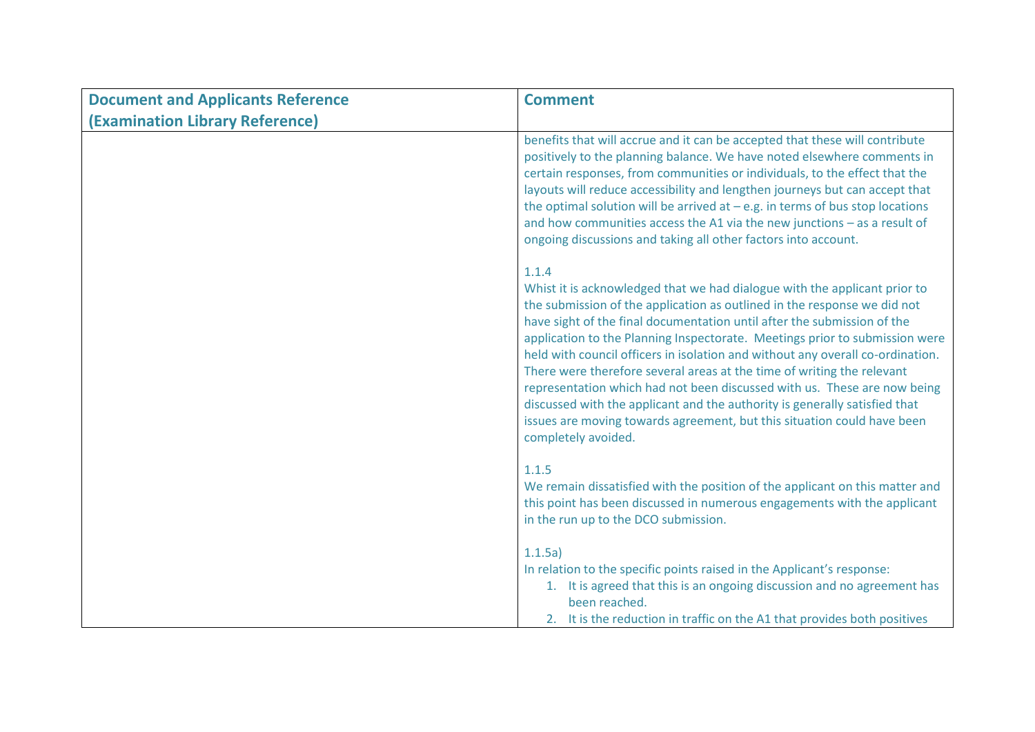| <b>Document and Applicants Reference</b> | <b>Comment</b>                                                                                                                                                                                                                                                                                                                                                                                                                                                                                                                                                                                                                                                                                                                                   |
|------------------------------------------|--------------------------------------------------------------------------------------------------------------------------------------------------------------------------------------------------------------------------------------------------------------------------------------------------------------------------------------------------------------------------------------------------------------------------------------------------------------------------------------------------------------------------------------------------------------------------------------------------------------------------------------------------------------------------------------------------------------------------------------------------|
| (Examination Library Reference)          |                                                                                                                                                                                                                                                                                                                                                                                                                                                                                                                                                                                                                                                                                                                                                  |
|                                          | benefits that will accrue and it can be accepted that these will contribute<br>positively to the planning balance. We have noted elsewhere comments in<br>certain responses, from communities or individuals, to the effect that the<br>layouts will reduce accessibility and lengthen journeys but can accept that<br>the optimal solution will be arrived at $-e.g.$ in terms of bus stop locations<br>and how communities access the A1 via the new junctions $-$ as a result of<br>ongoing discussions and taking all other factors into account.                                                                                                                                                                                            |
|                                          | 1.1.4<br>Whist it is acknowledged that we had dialogue with the applicant prior to<br>the submission of the application as outlined in the response we did not<br>have sight of the final documentation until after the submission of the<br>application to the Planning Inspectorate. Meetings prior to submission were<br>held with council officers in isolation and without any overall co-ordination.<br>There were therefore several areas at the time of writing the relevant<br>representation which had not been discussed with us. These are now being<br>discussed with the applicant and the authority is generally satisfied that<br>issues are moving towards agreement, but this situation could have been<br>completely avoided. |
|                                          | 1.1.5<br>We remain dissatisfied with the position of the applicant on this matter and<br>this point has been discussed in numerous engagements with the applicant<br>in the run up to the DCO submission.                                                                                                                                                                                                                                                                                                                                                                                                                                                                                                                                        |
|                                          | 1.1.5a)<br>In relation to the specific points raised in the Applicant's response:<br>1. It is agreed that this is an ongoing discussion and no agreement has<br>been reached.<br>2. It is the reduction in traffic on the A1 that provides both positives                                                                                                                                                                                                                                                                                                                                                                                                                                                                                        |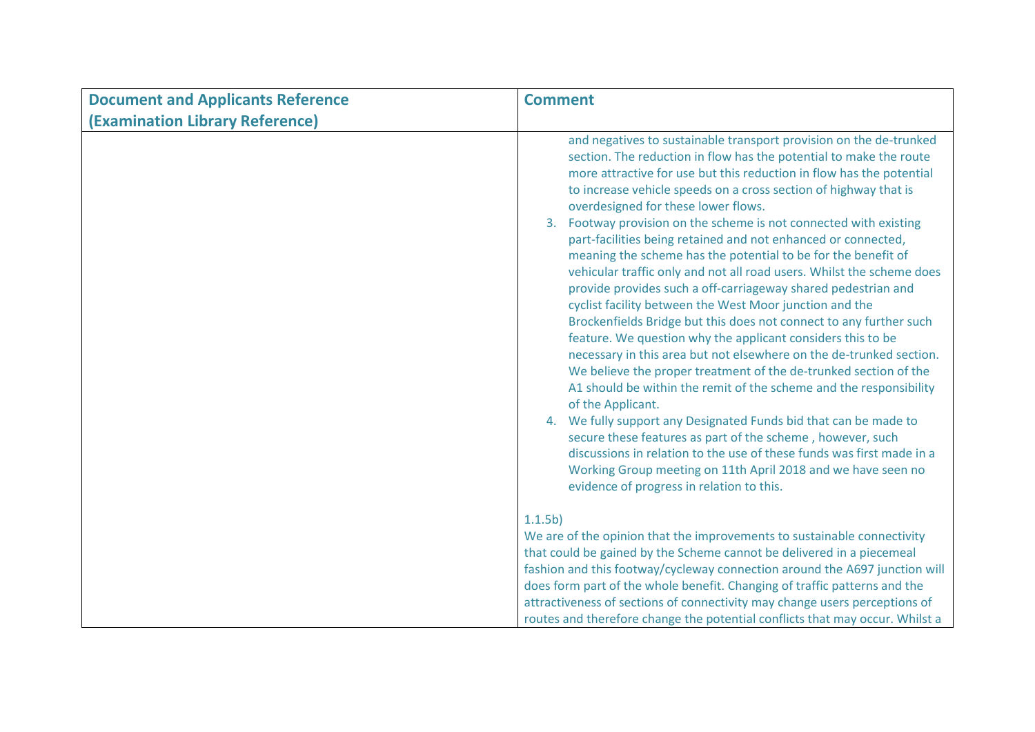| <b>Document and Applicants Reference</b> | <b>Comment</b>                                                                                                                                                                                                                                                                                                                                                                                                                                                                                                                                                                                                                                                                                                                                                                                                                                                                                                                                                                                                                                                                                                                                                                                                                                                                                                                                                                                                                             |
|------------------------------------------|--------------------------------------------------------------------------------------------------------------------------------------------------------------------------------------------------------------------------------------------------------------------------------------------------------------------------------------------------------------------------------------------------------------------------------------------------------------------------------------------------------------------------------------------------------------------------------------------------------------------------------------------------------------------------------------------------------------------------------------------------------------------------------------------------------------------------------------------------------------------------------------------------------------------------------------------------------------------------------------------------------------------------------------------------------------------------------------------------------------------------------------------------------------------------------------------------------------------------------------------------------------------------------------------------------------------------------------------------------------------------------------------------------------------------------------------|
| (Examination Library Reference)          |                                                                                                                                                                                                                                                                                                                                                                                                                                                                                                                                                                                                                                                                                                                                                                                                                                                                                                                                                                                                                                                                                                                                                                                                                                                                                                                                                                                                                                            |
|                                          | and negatives to sustainable transport provision on the de-trunked<br>section. The reduction in flow has the potential to make the route<br>more attractive for use but this reduction in flow has the potential<br>to increase vehicle speeds on a cross section of highway that is<br>overdesigned for these lower flows.<br>3. Footway provision on the scheme is not connected with existing<br>part-facilities being retained and not enhanced or connected,<br>meaning the scheme has the potential to be for the benefit of<br>vehicular traffic only and not all road users. Whilst the scheme does<br>provide provides such a off-carriageway shared pedestrian and<br>cyclist facility between the West Moor junction and the<br>Brockenfields Bridge but this does not connect to any further such<br>feature. We question why the applicant considers this to be<br>necessary in this area but not elsewhere on the de-trunked section.<br>We believe the proper treatment of the de-trunked section of the<br>A1 should be within the remit of the scheme and the responsibility<br>of the Applicant.<br>4. We fully support any Designated Funds bid that can be made to<br>secure these features as part of the scheme, however, such<br>discussions in relation to the use of these funds was first made in a<br>Working Group meeting on 11th April 2018 and we have seen no<br>evidence of progress in relation to this. |
|                                          | 1.1.5 <sub>b</sub>                                                                                                                                                                                                                                                                                                                                                                                                                                                                                                                                                                                                                                                                                                                                                                                                                                                                                                                                                                                                                                                                                                                                                                                                                                                                                                                                                                                                                         |
|                                          | We are of the opinion that the improvements to sustainable connectivity                                                                                                                                                                                                                                                                                                                                                                                                                                                                                                                                                                                                                                                                                                                                                                                                                                                                                                                                                                                                                                                                                                                                                                                                                                                                                                                                                                    |
|                                          | that could be gained by the Scheme cannot be delivered in a piecemeal                                                                                                                                                                                                                                                                                                                                                                                                                                                                                                                                                                                                                                                                                                                                                                                                                                                                                                                                                                                                                                                                                                                                                                                                                                                                                                                                                                      |
|                                          | fashion and this footway/cycleway connection around the A697 junction will                                                                                                                                                                                                                                                                                                                                                                                                                                                                                                                                                                                                                                                                                                                                                                                                                                                                                                                                                                                                                                                                                                                                                                                                                                                                                                                                                                 |
|                                          | does form part of the whole benefit. Changing of traffic patterns and the                                                                                                                                                                                                                                                                                                                                                                                                                                                                                                                                                                                                                                                                                                                                                                                                                                                                                                                                                                                                                                                                                                                                                                                                                                                                                                                                                                  |
|                                          | attractiveness of sections of connectivity may change users perceptions of<br>routes and therefore change the potential conflicts that may occur. Whilst a                                                                                                                                                                                                                                                                                                                                                                                                                                                                                                                                                                                                                                                                                                                                                                                                                                                                                                                                                                                                                                                                                                                                                                                                                                                                                 |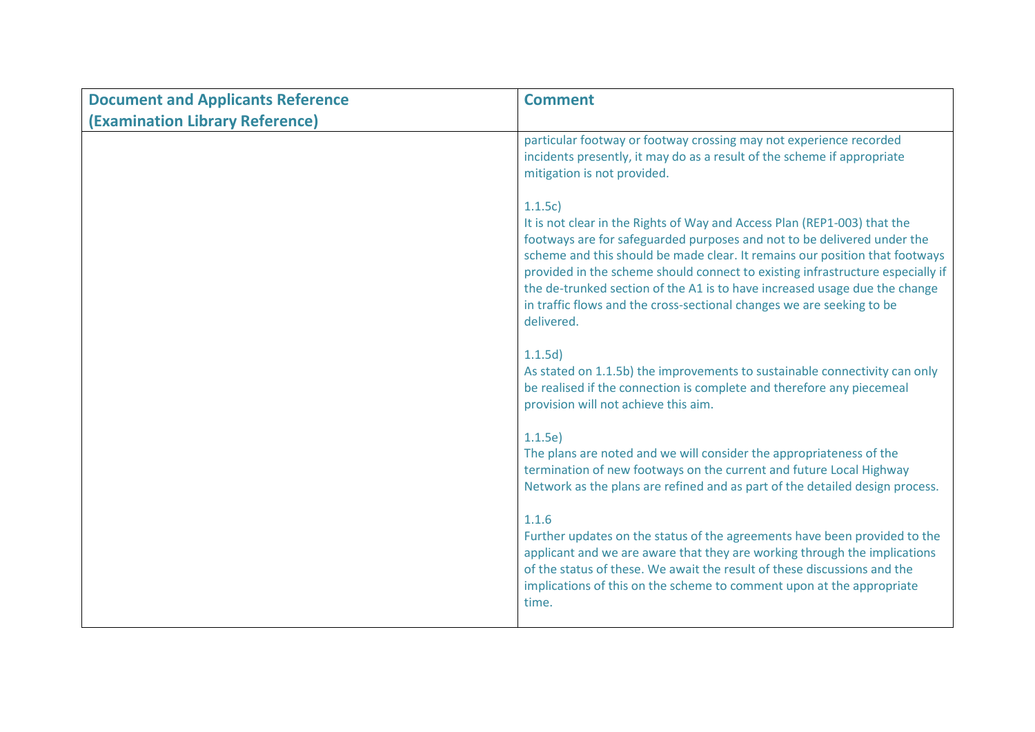| <b>Document and Applicants Reference</b> | <b>Comment</b>                                                                                                                                                                                                                                                                                                                                                                                                                                                                                      |
|------------------------------------------|-----------------------------------------------------------------------------------------------------------------------------------------------------------------------------------------------------------------------------------------------------------------------------------------------------------------------------------------------------------------------------------------------------------------------------------------------------------------------------------------------------|
| (Examination Library Reference)          |                                                                                                                                                                                                                                                                                                                                                                                                                                                                                                     |
|                                          | particular footway or footway crossing may not experience recorded<br>incidents presently, it may do as a result of the scheme if appropriate<br>mitigation is not provided.                                                                                                                                                                                                                                                                                                                        |
|                                          | 1.1.5c<br>It is not clear in the Rights of Way and Access Plan (REP1-003) that the<br>footways are for safeguarded purposes and not to be delivered under the<br>scheme and this should be made clear. It remains our position that footways<br>provided in the scheme should connect to existing infrastructure especially if<br>the de-trunked section of the A1 is to have increased usage due the change<br>in traffic flows and the cross-sectional changes we are seeking to be<br>delivered. |
|                                          | 1.1.5d)<br>As stated on 1.1.5b) the improvements to sustainable connectivity can only<br>be realised if the connection is complete and therefore any piecemeal<br>provision will not achieve this aim.                                                                                                                                                                                                                                                                                              |
|                                          | 1.1.5e<br>The plans are noted and we will consider the appropriateness of the<br>termination of new footways on the current and future Local Highway<br>Network as the plans are refined and as part of the detailed design process.                                                                                                                                                                                                                                                                |
|                                          | 1.1.6<br>Further updates on the status of the agreements have been provided to the<br>applicant and we are aware that they are working through the implications<br>of the status of these. We await the result of these discussions and the<br>implications of this on the scheme to comment upon at the appropriate<br>time.                                                                                                                                                                       |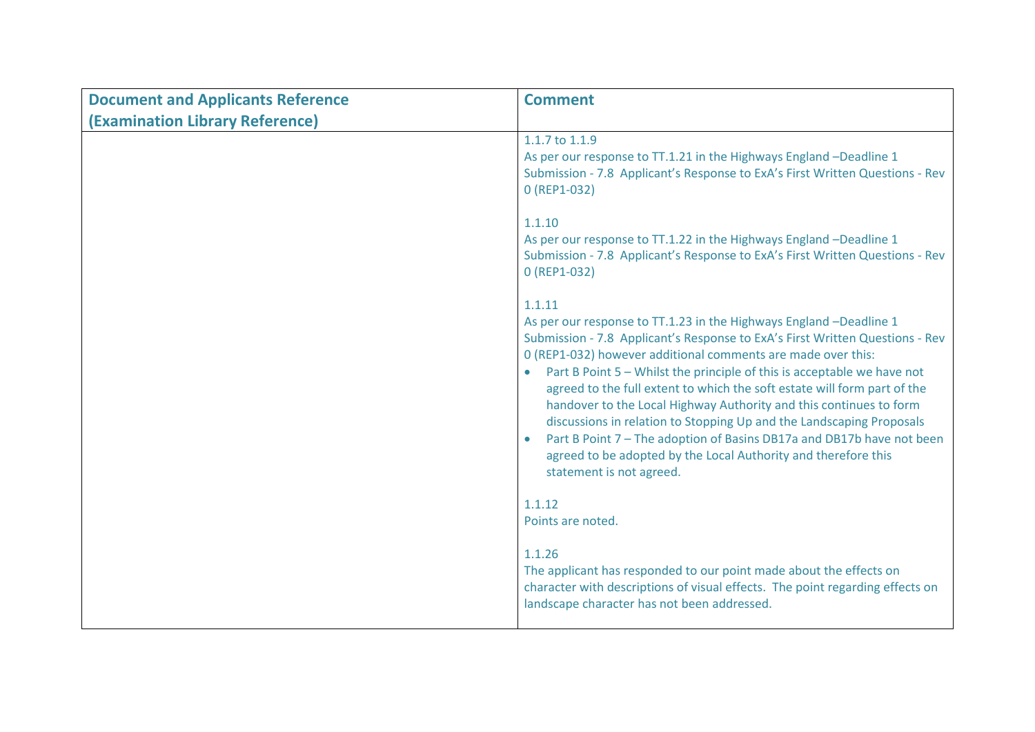| <b>Document and Applicants Reference</b> | <b>Comment</b>                                                                                                                                                                                                                                                                                                                                                                                                                                                                                                                                                                                                                                                                                                                     |
|------------------------------------------|------------------------------------------------------------------------------------------------------------------------------------------------------------------------------------------------------------------------------------------------------------------------------------------------------------------------------------------------------------------------------------------------------------------------------------------------------------------------------------------------------------------------------------------------------------------------------------------------------------------------------------------------------------------------------------------------------------------------------------|
| (Examination Library Reference)          |                                                                                                                                                                                                                                                                                                                                                                                                                                                                                                                                                                                                                                                                                                                                    |
|                                          | 1.1.7 to 1.1.9<br>As per our response to TT.1.21 in the Highways England -Deadline 1<br>Submission - 7.8 Applicant's Response to ExA's First Written Questions - Rev<br>0 (REP1-032)                                                                                                                                                                                                                                                                                                                                                                                                                                                                                                                                               |
|                                          | 1.1.10<br>As per our response to TT.1.22 in the Highways England -Deadline 1<br>Submission - 7.8 Applicant's Response to ExA's First Written Questions - Rev<br>0 (REP1-032)                                                                                                                                                                                                                                                                                                                                                                                                                                                                                                                                                       |
|                                          | 1.1.11<br>As per our response to TT.1.23 in the Highways England -Deadline 1<br>Submission - 7.8 Applicant's Response to ExA's First Written Questions - Rev<br>0 (REP1-032) however additional comments are made over this:<br>Part B Point 5 - Whilst the principle of this is acceptable we have not<br>$\bullet$<br>agreed to the full extent to which the soft estate will form part of the<br>handover to the Local Highway Authority and this continues to form<br>discussions in relation to Stopping Up and the Landscaping Proposals<br>Part B Point 7 - The adoption of Basins DB17a and DB17b have not been<br>$\bullet$<br>agreed to be adopted by the Local Authority and therefore this<br>statement is not agreed. |
|                                          | 1.1.12<br>Points are noted.                                                                                                                                                                                                                                                                                                                                                                                                                                                                                                                                                                                                                                                                                                        |
|                                          | 1.1.26<br>The applicant has responded to our point made about the effects on<br>character with descriptions of visual effects. The point regarding effects on<br>landscape character has not been addressed.                                                                                                                                                                                                                                                                                                                                                                                                                                                                                                                       |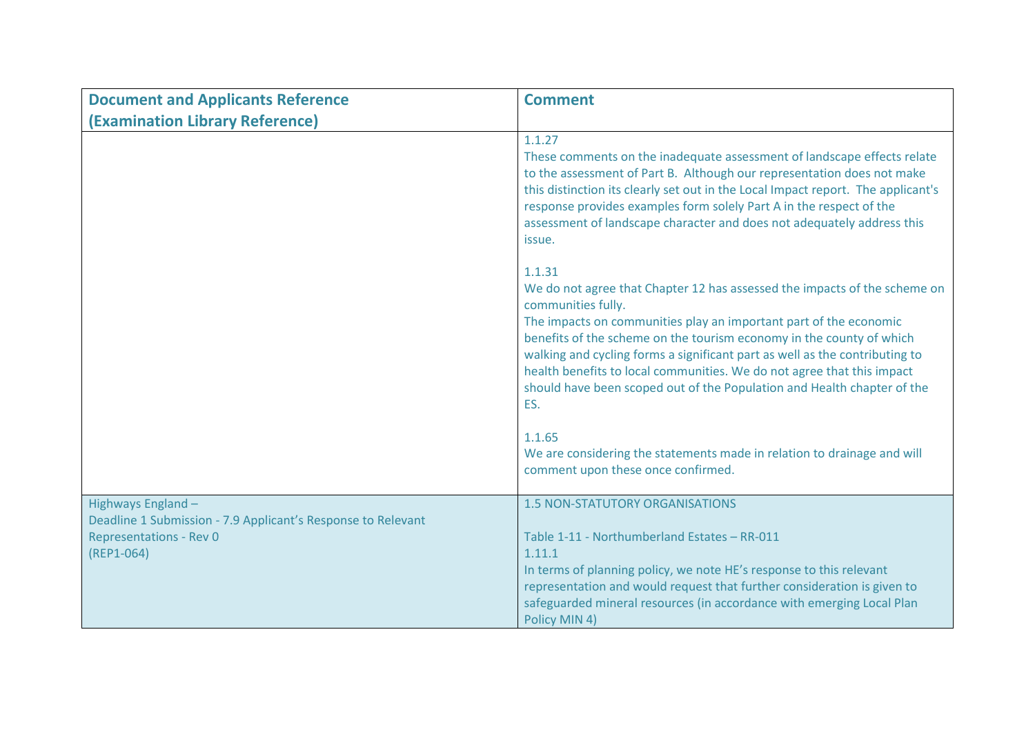| <b>Document and Applicants Reference</b>                                                                                            | <b>Comment</b>                                                                                                                                                                                                                                                                                                                                                                                                                                                                                    |
|-------------------------------------------------------------------------------------------------------------------------------------|---------------------------------------------------------------------------------------------------------------------------------------------------------------------------------------------------------------------------------------------------------------------------------------------------------------------------------------------------------------------------------------------------------------------------------------------------------------------------------------------------|
| (Examination Library Reference)                                                                                                     |                                                                                                                                                                                                                                                                                                                                                                                                                                                                                                   |
|                                                                                                                                     | 1.1.27<br>These comments on the inadequate assessment of landscape effects relate<br>to the assessment of Part B. Although our representation does not make<br>this distinction its clearly set out in the Local Impact report. The applicant's<br>response provides examples form solely Part A in the respect of the<br>assessment of landscape character and does not adequately address this<br>issue.                                                                                        |
|                                                                                                                                     | 1.1.31<br>We do not agree that Chapter 12 has assessed the impacts of the scheme on<br>communities fully.<br>The impacts on communities play an important part of the economic<br>benefits of the scheme on the tourism economy in the county of which<br>walking and cycling forms a significant part as well as the contributing to<br>health benefits to local communities. We do not agree that this impact<br>should have been scoped out of the Population and Health chapter of the<br>ES. |
|                                                                                                                                     | 1.1.65<br>We are considering the statements made in relation to drainage and will<br>comment upon these once confirmed.                                                                                                                                                                                                                                                                                                                                                                           |
| Highways England-<br>Deadline 1 Submission - 7.9 Applicant's Response to Relevant<br><b>Representations - Rev O</b><br>$(REP1-064)$ | <b>1.5 NON-STATUTORY ORGANISATIONS</b><br>Table 1-11 - Northumberland Estates - RR-011<br>1.11.1<br>In terms of planning policy, we note HE's response to this relevant<br>representation and would request that further consideration is given to                                                                                                                                                                                                                                                |
|                                                                                                                                     | safeguarded mineral resources (in accordance with emerging Local Plan<br>Policy MIN 4)                                                                                                                                                                                                                                                                                                                                                                                                            |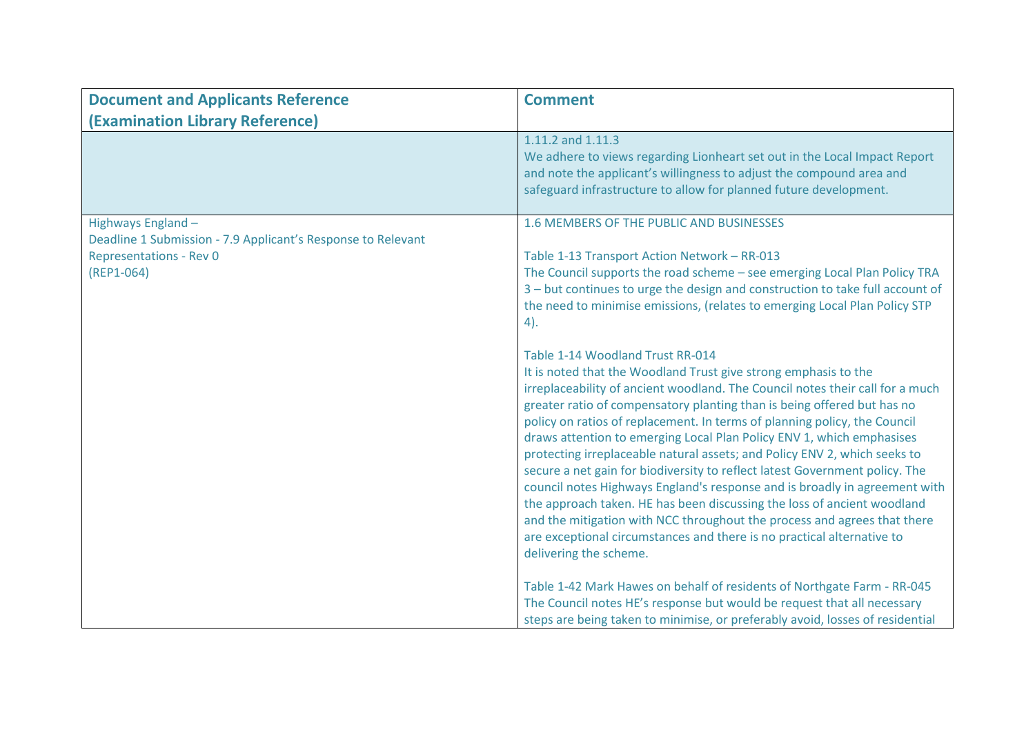| <b>Document and Applicants Reference</b>                     | <b>Comment</b>                                                                                                                                                                                                                                                                                                                                                                                                                                                                                                                                                                                                                                                                                                                                                                                                                                                                                                             |
|--------------------------------------------------------------|----------------------------------------------------------------------------------------------------------------------------------------------------------------------------------------------------------------------------------------------------------------------------------------------------------------------------------------------------------------------------------------------------------------------------------------------------------------------------------------------------------------------------------------------------------------------------------------------------------------------------------------------------------------------------------------------------------------------------------------------------------------------------------------------------------------------------------------------------------------------------------------------------------------------------|
| (Examination Library Reference)                              |                                                                                                                                                                                                                                                                                                                                                                                                                                                                                                                                                                                                                                                                                                                                                                                                                                                                                                                            |
|                                                              | 1.11.2 and 1.11.3<br>We adhere to views regarding Lionheart set out in the Local Impact Report<br>and note the applicant's willingness to adjust the compound area and<br>safeguard infrastructure to allow for planned future development.                                                                                                                                                                                                                                                                                                                                                                                                                                                                                                                                                                                                                                                                                |
| Highways England -                                           | 1.6 MEMBERS OF THE PUBLIC AND BUSINESSES                                                                                                                                                                                                                                                                                                                                                                                                                                                                                                                                                                                                                                                                                                                                                                                                                                                                                   |
| Deadline 1 Submission - 7.9 Applicant's Response to Relevant |                                                                                                                                                                                                                                                                                                                                                                                                                                                                                                                                                                                                                                                                                                                                                                                                                                                                                                                            |
| <b>Representations - Rev 0</b><br>$(REP1-064)$               | Table 1-13 Transport Action Network - RR-013<br>The Council supports the road scheme - see emerging Local Plan Policy TRA<br>3 - but continues to urge the design and construction to take full account of<br>the need to minimise emissions, (relates to emerging Local Plan Policy STP<br>4).                                                                                                                                                                                                                                                                                                                                                                                                                                                                                                                                                                                                                            |
|                                                              | Table 1-14 Woodland Trust RR-014<br>It is noted that the Woodland Trust give strong emphasis to the<br>irreplaceability of ancient woodland. The Council notes their call for a much<br>greater ratio of compensatory planting than is being offered but has no<br>policy on ratios of replacement. In terms of planning policy, the Council<br>draws attention to emerging Local Plan Policy ENV 1, which emphasises<br>protecting irreplaceable natural assets; and Policy ENV 2, which seeks to<br>secure a net gain for biodiversity to reflect latest Government policy. The<br>council notes Highways England's response and is broadly in agreement with<br>the approach taken. HE has been discussing the loss of ancient woodland<br>and the mitigation with NCC throughout the process and agrees that there<br>are exceptional circumstances and there is no practical alternative to<br>delivering the scheme. |
|                                                              | Table 1-42 Mark Hawes on behalf of residents of Northgate Farm - RR-045<br>The Council notes HE's response but would be request that all necessary<br>steps are being taken to minimise, or preferably avoid, losses of residential                                                                                                                                                                                                                                                                                                                                                                                                                                                                                                                                                                                                                                                                                        |